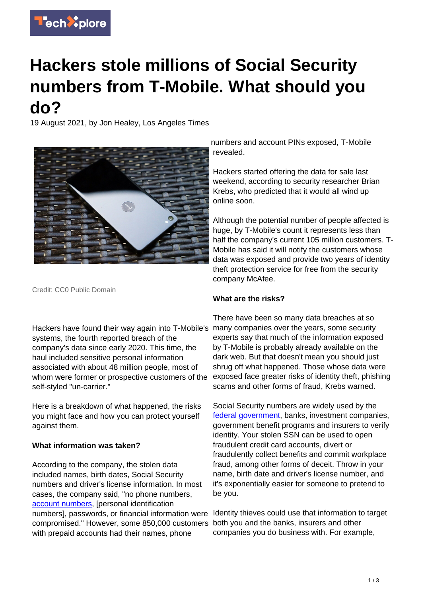

## **Hackers stole millions of Social Security numbers from T-Mobile. What should you do?**

19 August 2021, by Jon Healey, Los Angeles Times



Credit: CC0 Public Domain

Hackers have found their way again into T-Mobile's many companies over the years, some security systems, the fourth reported breach of the company's data since early 2020. This time, the haul included sensitive personal information associated with about 48 million people, most of whom were former or prospective customers of the self-styled "un-carrier."

Here is a breakdown of what happened, the risks you might face and how you can protect yourself against them.

## **What information was taken?**

According to the company, the stolen data included names, birth dates, Social Security numbers and driver's license information. In most cases, the company said, "no phone numbers, [account numbers,](https://techxplore.com/tags/account+numbers/) [personal identification numbers], passwords, or financial information were compromised." However, some 850,000 customers both you and the banks, insurers and other with prepaid accounts had their names, phone

numbers and account PINs exposed, T-Mobile revealed.

Hackers started offering the data for sale last weekend, according to security researcher Brian Krebs, who predicted that it would all wind up online soon.

Although the potential number of people affected is huge, by T-Mobile's count it represents less than half the company's current 105 million customers. T-Mobile has said it will notify the customers whose data was exposed and provide two years of identity theft protection service for free from the security company McAfee.

## **What are the risks?**

There have been so many data breaches at so experts say that much of the information exposed by T-Mobile is probably already available on the dark web. But that doesn't mean you should just shrug off what happened. Those whose data were exposed face greater risks of identity theft, phishing scams and other forms of fraud, Krebs warned.

Social Security numbers are widely used by the [federal government](https://techxplore.com/tags/federal+government/), banks, investment companies, government benefit programs and insurers to verify identity. Your stolen SSN can be used to open fraudulent credit card accounts, divert or fraudulently collect benefits and commit workplace fraud, among other forms of deceit. Throw in your name, birth date and driver's license number, and it's exponentially easier for someone to pretend to be you.

Identity thieves could use that information to target companies you do business with. For example,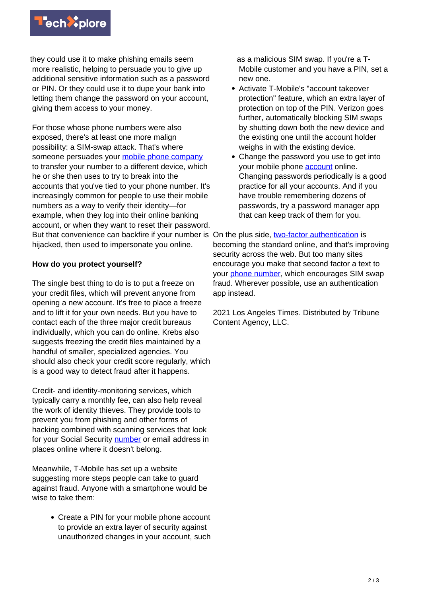

they could use it to make phishing emails seem more realistic, helping to persuade you to give up additional sensitive information such as a password or PIN. Or they could use it to dupe your bank into letting them change the password on your account, giving them access to your money.

For those whose phone numbers were also exposed, there's at least one more malign possibility: a SIM-swap attack. That's where someone persuades your [mobile phone company](https://techxplore.com/tags/mobile+phone+company/) to transfer your number to a different device, which he or she then uses to try to break into the accounts that you've tied to your phone number. It's increasingly common for people to use their mobile numbers as a way to verify their identity—for example, when they log into their online banking account, or when they want to reset their password. But that convenience can backfire if your number is On the plus side, [two-factor authentication](https://techxplore.com/tags/two-factor+authentication/) is hijacked, then used to impersonate you online.

## **How do you protect yourself?**

The single best thing to do is to put a freeze on your credit files, which will prevent anyone from opening a new account. It's free to place a freeze and to lift it for your own needs. But you have to contact each of the three major credit bureaus individually, which you can do online. Krebs also suggests freezing the credit files maintained by a handful of smaller, specialized agencies. You should also check your credit score regularly, which is a good way to detect fraud after it happens.

Credit- and identity-monitoring services, which typically carry a monthly fee, can also help reveal the work of identity thieves. They provide tools to prevent you from phishing and other forms of hacking combined with scanning services that look for your Social Security [number](https://techxplore.com/tags/number/) or email address in places online where it doesn't belong.

Meanwhile, T-Mobile has set up a website suggesting more steps people can take to guard against fraud. Anyone with a smartphone would be wise to take them:

> • Create a PIN for your mobile phone account to provide an extra layer of security against unauthorized changes in your account, such

as a malicious SIM swap. If you're a T-Mobile customer and you have a PIN, set a new one.

- Activate T-Mobile's "account takeover protection" feature, which an extra layer of protection on top of the PIN. Verizon goes further, automatically blocking SIM swaps by shutting down both the new device and the existing one until the account holder weighs in with the existing device.
- Change the password you use to get into your mobile phone **[account](https://techxplore.com/tags/account/)** online. Changing passwords periodically is a good practice for all your accounts. And if you have trouble remembering dozens of passwords, try a password manager app that can keep track of them for you.

becoming the standard online, and that's improving security across the web. But too many sites encourage you make that second factor a text to your **phone number**, which encourages SIM swap fraud. Wherever possible, use an authentication app instead.

2021 Los Angeles Times. Distributed by Tribune Content Agency, LLC.